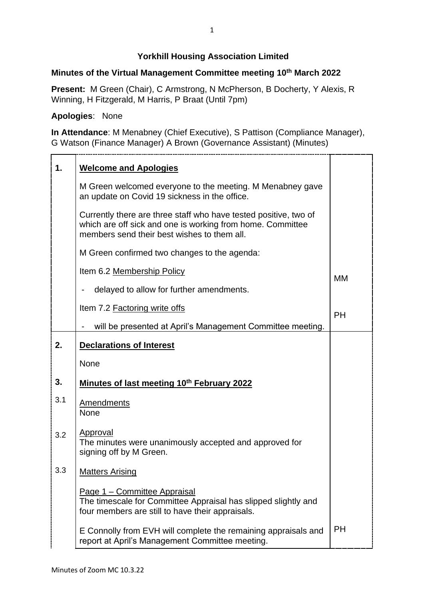## **Yorkhill Housing Association Limited**

## **Minutes of the Virtual Management Committee meeting 10th March 2022**

**Present:** M Green (Chair), C Armstrong, N McPherson, B Docherty, Y Alexis, R Winning, H Fitzgerald, M Harris, P Braat (Until 7pm)

## **Apologies**: None

**In Attendance**: M Menabney (Chief Executive), S Pattison (Compliance Manager), G Watson (Finance Manager) A Brown (Governance Assistant) (Minutes)

| 1.  | <b>Welcome and Apologies</b>                                                                                                                                                  |           |
|-----|-------------------------------------------------------------------------------------------------------------------------------------------------------------------------------|-----------|
|     | M Green welcomed everyone to the meeting. M Menabney gave<br>an update on Covid 19 sickness in the office.                                                                    |           |
|     | Currently there are three staff who have tested positive, two of<br>which are off sick and one is working from home. Committee<br>members send their best wishes to them all. |           |
|     | M Green confirmed two changes to the agenda:                                                                                                                                  |           |
|     | Item 6.2 Membership Policy                                                                                                                                                    | MM        |
|     | delayed to allow for further amendments.                                                                                                                                      |           |
|     | Item 7.2 Factoring write offs                                                                                                                                                 | <b>PH</b> |
|     | will be presented at April's Management Committee meeting.                                                                                                                    |           |
| 2.  | <b>Declarations of Interest</b>                                                                                                                                               |           |
|     | None                                                                                                                                                                          |           |
| 3.  | Minutes of last meeting 10th February 2022                                                                                                                                    |           |
| 3.1 | <b>Amendments</b><br>None                                                                                                                                                     |           |
| 3.2 | Approval<br>The minutes were unanimously accepted and approved for<br>signing off by M Green.                                                                                 |           |
| 3.3 | <b>Matters Arising</b>                                                                                                                                                        |           |
|     | Page 1 - Committee Appraisal<br>The timescale for Committee Appraisal has slipped slightly and<br>four members are still to have their appraisals.                            |           |
|     | E Connolly from EVH will complete the remaining appraisals and<br>report at April's Management Committee meeting.                                                             | <b>PH</b> |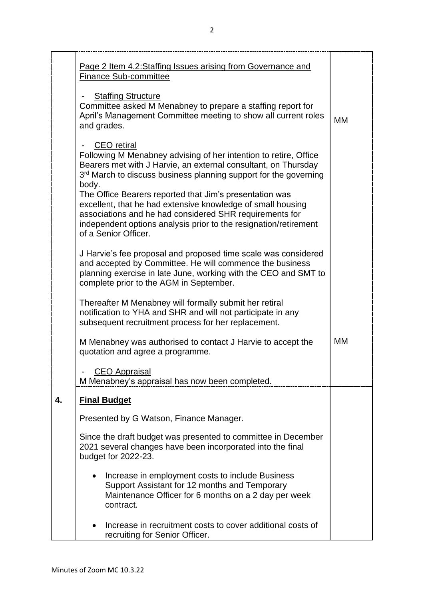|    | Page 2 Item 4.2:Staffing Issues arising from Governance and<br><b>Finance Sub-committee</b>                                                                                                                                                                                                                                                                                                                                                                                                                            |    |
|----|------------------------------------------------------------------------------------------------------------------------------------------------------------------------------------------------------------------------------------------------------------------------------------------------------------------------------------------------------------------------------------------------------------------------------------------------------------------------------------------------------------------------|----|
|    | <b>Staffing Structure</b><br>Committee asked M Menabney to prepare a staffing report for<br>April's Management Committee meeting to show all current roles<br>and grades.                                                                                                                                                                                                                                                                                                                                              | МM |
|    | <b>CEO</b> retiral<br>Following M Menabney advising of her intention to retire, Office<br>Bearers met with J Harvie, an external consultant, on Thursday<br>3rd March to discuss business planning support for the governing<br>body.<br>The Office Bearers reported that Jim's presentation was<br>excellent, that he had extensive knowledge of small housing<br>associations and he had considered SHR requirements for<br>independent options analysis prior to the resignation/retirement<br>of a Senior Officer. |    |
|    | J Harvie's fee proposal and proposed time scale was considered<br>and accepted by Committee. He will commence the business<br>planning exercise in late June, working with the CEO and SMT to<br>complete prior to the AGM in September.                                                                                                                                                                                                                                                                               |    |
|    | Thereafter M Menabney will formally submit her retiral<br>notification to YHA and SHR and will not participate in any<br>subsequent recruitment process for her replacement.                                                                                                                                                                                                                                                                                                                                           |    |
|    | M Menabney was authorised to contact J Harvie to accept the<br>quotation and agree a programme.                                                                                                                                                                                                                                                                                                                                                                                                                        | МM |
|    | <b>CEO Appraisal</b><br>M Menabney's appraisal has now been completed.                                                                                                                                                                                                                                                                                                                                                                                                                                                 |    |
| 4. | <b>Final Budget</b>                                                                                                                                                                                                                                                                                                                                                                                                                                                                                                    |    |
|    | Presented by G Watson, Finance Manager.                                                                                                                                                                                                                                                                                                                                                                                                                                                                                |    |
|    | Since the draft budget was presented to committee in December<br>2021 several changes have been incorporated into the final<br>budget for 2022-23.                                                                                                                                                                                                                                                                                                                                                                     |    |
|    | Increase in employment costs to include Business<br>Support Assistant for 12 months and Temporary<br>Maintenance Officer for 6 months on a 2 day per week<br>contract.                                                                                                                                                                                                                                                                                                                                                 |    |
|    | Increase in recruitment costs to cover additional costs of<br>$\bullet$<br>recruiting for Senior Officer.                                                                                                                                                                                                                                                                                                                                                                                                              |    |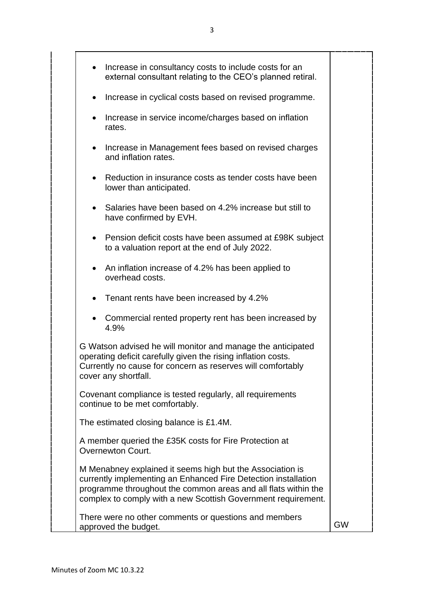| Increase in consultancy costs to include costs for an<br>$\bullet$<br>external consultant relating to the CEO's planned retiral.                                                                                                                               |           |  |
|----------------------------------------------------------------------------------------------------------------------------------------------------------------------------------------------------------------------------------------------------------------|-----------|--|
| Increase in cyclical costs based on revised programme.<br>$\bullet$                                                                                                                                                                                            |           |  |
| Increase in service income/charges based on inflation<br>$\bullet$<br>rates.                                                                                                                                                                                   |           |  |
| Increase in Management fees based on revised charges<br>$\bullet$<br>and inflation rates.                                                                                                                                                                      |           |  |
| Reduction in insurance costs as tender costs have been<br>$\bullet$<br>lower than anticipated.                                                                                                                                                                 |           |  |
| • Salaries have been based on 4.2% increase but still to<br>have confirmed by EVH.                                                                                                                                                                             |           |  |
| Pension deficit costs have been assumed at £98K subject<br>$\bullet$<br>to a valuation report at the end of July 2022.                                                                                                                                         |           |  |
| • An inflation increase of 4.2% has been applied to<br>overhead costs.                                                                                                                                                                                         |           |  |
| Tenant rents have been increased by 4.2%<br>$\bullet$                                                                                                                                                                                                          |           |  |
| Commercial rented property rent has been increased by<br>4.9%                                                                                                                                                                                                  |           |  |
| G Watson advised he will monitor and manage the anticipated<br>operating deficit carefully given the rising inflation costs.<br>Currently no cause for concern as reserves will comfortably<br>cover any shortfall.                                            |           |  |
| Covenant compliance is tested regularly, all requirements<br>continue to be met comfortably.                                                                                                                                                                   |           |  |
| The estimated closing balance is £1.4M.                                                                                                                                                                                                                        |           |  |
| A member queried the £35K costs for Fire Protection at<br>Overnewton Court.                                                                                                                                                                                    |           |  |
| M Menabney explained it seems high but the Association is<br>currently implementing an Enhanced Fire Detection installation<br>programme throughout the common areas and all flats within the<br>complex to comply with a new Scottish Government requirement. |           |  |
| There were no other comments or questions and members<br>approved the budget.                                                                                                                                                                                  | <b>GW</b> |  |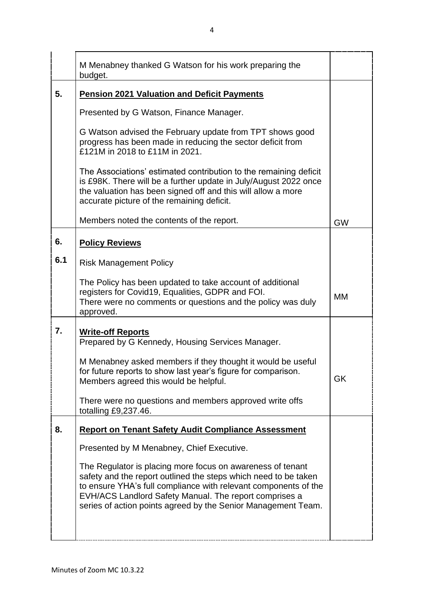|     | M Menabney thanked G Watson for his work preparing the<br>budget.                                                                                                                                                                                                                                                           |           |
|-----|-----------------------------------------------------------------------------------------------------------------------------------------------------------------------------------------------------------------------------------------------------------------------------------------------------------------------------|-----------|
| 5.  | <b>Pension 2021 Valuation and Deficit Payments</b>                                                                                                                                                                                                                                                                          |           |
|     | Presented by G Watson, Finance Manager.                                                                                                                                                                                                                                                                                     |           |
|     | G Watson advised the February update from TPT shows good<br>progress has been made in reducing the sector deficit from<br>£121M in 2018 to £11M in 2021.                                                                                                                                                                    |           |
|     | The Associations' estimated contribution to the remaining deficit<br>is £98K. There will be a further update in July/August 2022 once<br>the valuation has been signed off and this will allow a more<br>accurate picture of the remaining deficit.                                                                         |           |
|     | Members noted the contents of the report.                                                                                                                                                                                                                                                                                   | <b>GW</b> |
| 6.  | <b>Policy Reviews</b>                                                                                                                                                                                                                                                                                                       |           |
| 6.1 | <b>Risk Management Policy</b>                                                                                                                                                                                                                                                                                               |           |
|     | The Policy has been updated to take account of additional<br>registers for Covid19, Equalities, GDPR and FOI.<br>There were no comments or questions and the policy was duly<br>approved.                                                                                                                                   | МM        |
| 7.  | <b>Write-off Reports</b><br>Prepared by G Kennedy, Housing Services Manager.                                                                                                                                                                                                                                                |           |
|     | M Menabney asked members if they thought it would be useful<br>for future reports to show last year's figure for comparison.<br>Members agreed this would be helpful.                                                                                                                                                       | GK        |
|     | There were no questions and members approved write offs<br>totalling £9,237.46.                                                                                                                                                                                                                                             |           |
| 8.  | <b>Report on Tenant Safety Audit Compliance Assessment</b>                                                                                                                                                                                                                                                                  |           |
|     | Presented by M Menabney, Chief Executive.                                                                                                                                                                                                                                                                                   |           |
|     | The Regulator is placing more focus on awareness of tenant<br>safety and the report outlined the steps which need to be taken<br>to ensure YHA's full compliance with relevant components of the<br>EVH/ACS Landlord Safety Manual. The report comprises a<br>series of action points agreed by the Senior Management Team. |           |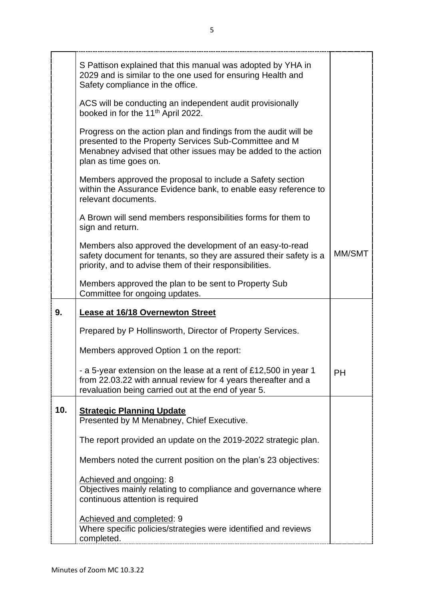|     | S Pattison explained that this manual was adopted by YHA in<br>2029 and is similar to the one used for ensuring Health and<br>Safety compliance in the office.                                                      |        |
|-----|---------------------------------------------------------------------------------------------------------------------------------------------------------------------------------------------------------------------|--------|
|     | ACS will be conducting an independent audit provisionally<br>booked in for the 11 <sup>th</sup> April 2022.                                                                                                         |        |
|     | Progress on the action plan and findings from the audit will be<br>presented to the Property Services Sub-Committee and M<br>Menabney advised that other issues may be added to the action<br>plan as time goes on. |        |
|     | Members approved the proposal to include a Safety section<br>within the Assurance Evidence bank, to enable easy reference to<br>relevant documents.                                                                 |        |
|     | A Brown will send members responsibilities forms for them to<br>sign and return.                                                                                                                                    |        |
|     | Members also approved the development of an easy-to-read<br>safety document for tenants, so they are assured their safety is a<br>priority, and to advise them of their responsibilities.                           | MM/SMT |
|     | Members approved the plan to be sent to Property Sub<br>Committee for ongoing updates.                                                                                                                              |        |
| 9.  | <b>Lease at 16/18 Overnewton Street</b>                                                                                                                                                                             |        |
|     | Prepared by P Hollinsworth, Director of Property Services.                                                                                                                                                          |        |
|     | Members approved Option 1 on the report:                                                                                                                                                                            |        |
|     | - a 5-year extension on the lease at a rent of £12,500 in year 1                                                                                                                                                    | PH     |
|     | from 22.03.22 with annual review for 4 years thereafter and a<br>revaluation being carried out at the end of year 5.                                                                                                |        |
| 10. | <b>Strategic Planning Update</b><br>Presented by M Menabney, Chief Executive.                                                                                                                                       |        |
|     | The report provided an update on the 2019-2022 strategic plan.                                                                                                                                                      |        |
|     | Members noted the current position on the plan's 23 objectives:                                                                                                                                                     |        |
|     | Achieved and ongoing: 8<br>Objectives mainly relating to compliance and governance where<br>continuous attention is required                                                                                        |        |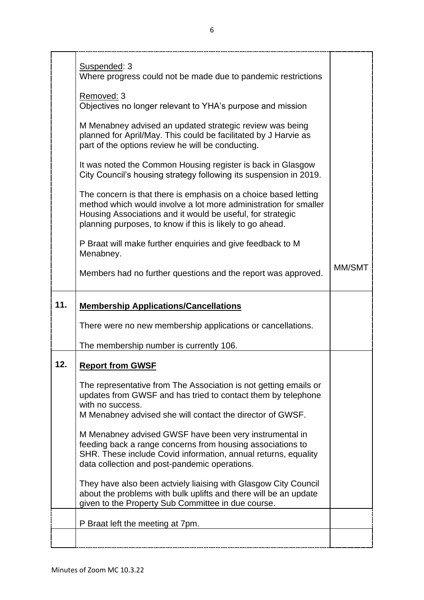|     | Suspended: 3<br>Where progress could not be made due to pandemic restrictions                                                                                                                                                                                  |        |
|-----|----------------------------------------------------------------------------------------------------------------------------------------------------------------------------------------------------------------------------------------------------------------|--------|
|     | Removed: 3<br>Objectives no longer relevant to YHA's purpose and mission                                                                                                                                                                                       |        |
|     | M Menabney advised an updated strategic review was being<br>planned for April/May. This could be facilitated by J Harvie as<br>part of the options review he will be conducting.                                                                               |        |
|     | It was noted the Common Housing register is back in Glasgow<br>City Council's housing strategy following its suspension in 2019.                                                                                                                               |        |
|     | The concern is that there is emphasis on a choice based letting<br>method which would involve a lot more administration for smaller<br>Housing Associations and it would be useful, for strategic<br>planning purposes, to know if this is likely to go ahead. |        |
|     | P Braat will make further enquiries and give feedback to M<br>Menabney.                                                                                                                                                                                        |        |
|     | Members had no further questions and the report was approved.                                                                                                                                                                                                  | MM/SMT |
|     |                                                                                                                                                                                                                                                                |        |
| 11. | <b>Membership Applications/Cancellations</b>                                                                                                                                                                                                                   |        |
|     | There were no new membership applications or cancellations.                                                                                                                                                                                                    |        |
|     | The membership number is currently 106.                                                                                                                                                                                                                        |        |
| 12  | <b>Report from GWSF</b>                                                                                                                                                                                                                                        |        |
|     | The representative from The Association is not getting emails or<br>updates from GWSF and has tried to contact them by telephone<br>with no success.<br>M Menabney advised she will contact the director of GWSF.                                              |        |
|     | M Menabney advised GWSF have been very instrumental in<br>feeding back a range concerns from housing associations to<br>SHR. These include Covid information, annual returns, equality<br>data collection and post-pandemic operations.                        |        |
|     | They have also been actviely liaising with Glasgow City Council<br>about the problems with bulk uplifts and there will be an update<br>given to the Property Sub Committee in due course.                                                                      |        |
|     | P Braat left the meeting at 7pm.                                                                                                                                                                                                                               |        |